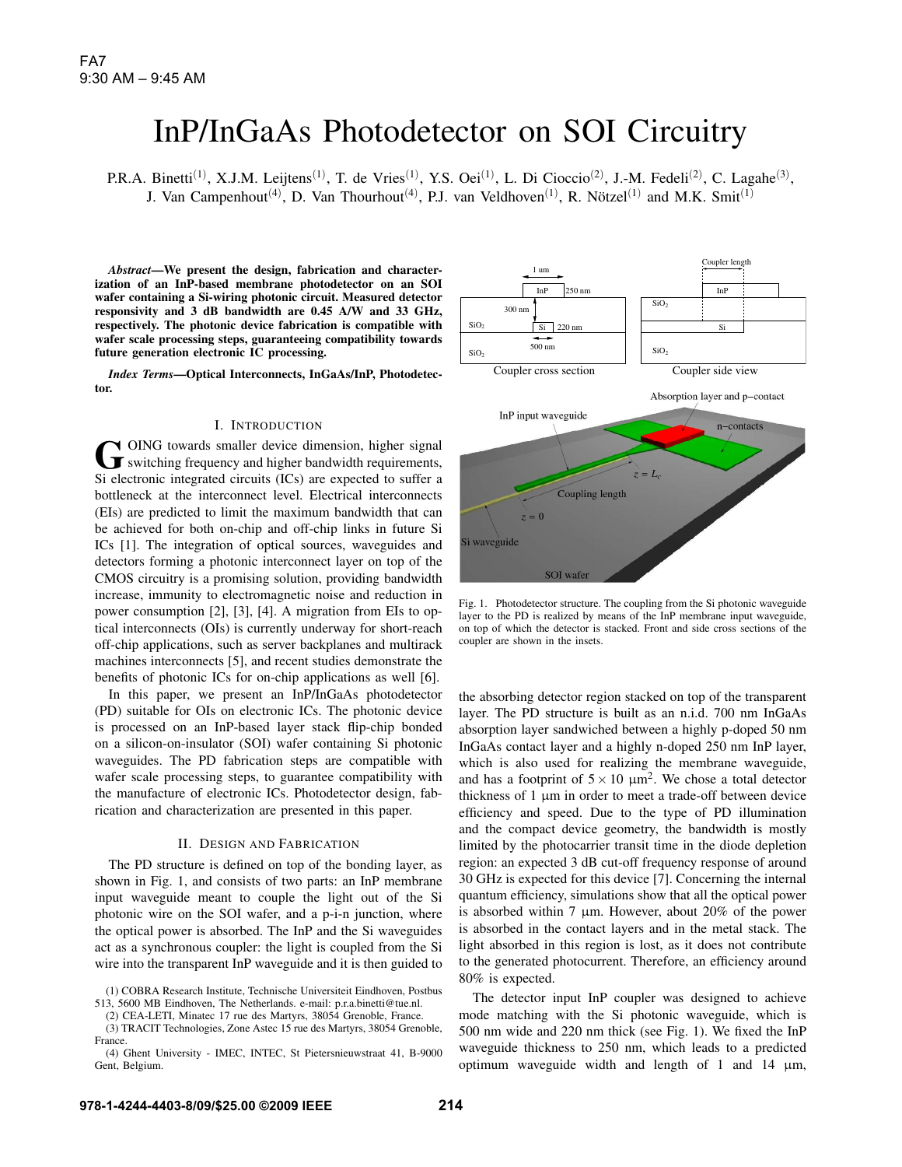# InP/InGaAs Photodetector on SOI Circuitry

P.R.A. Binetti<sup>(1)</sup>, X.J.M. Leijtens<sup>(1)</sup>, T. de Vries<sup>(1)</sup>, Y.S. Oei<sup>(1)</sup>, L. Di Cioccio<sup>(2)</sup>, J.-M. Fedeli<sup>(2)</sup>, C. Lagahe<sup>(3)</sup>, J. Van Campenhout<sup>(4)</sup>, D. Van Thourhout<sup>(4)</sup>, P.J. van Veldhoven<sup>(1)</sup>, R. Nötzel<sup>(1)</sup> and M.K. Smit<sup>(1)</sup>

*Abstract*—We present the design, fabrication and characterization of an InP-based membrane photodetector on an SOI wafer containing a Si-wiring photonic circuit. Measured detector responsivity and 3 dB bandwidth are 0.45 A/W and 33 GHz, respectively. The photonic device fabrication is compatible with wafer scale processing steps, guaranteeing compatibility towards future generation electronic IC processing.

*Index Terms*—Optical Interconnects, InGaAs/InP, Photodetector.

# I. INTRODUCTION

GOING towards smaller device dimension, higher signal<br>switching frequency and higher bandwidth requirements, Si electronic integrated circuits (ICs) are expected to suffer a bottleneck at the interconnect level. Electrical interconnects (EIs) are predicted to limit the maximum bandwidth that can be achieved for both on-chip and off-chip links in future Si ICs [1]. The integration of optical sources, waveguides and detectors forming a photonic interconnect layer on top of the CMOS circuitry is a promising solution, providing bandwidth increase, immunity to electromagnetic noise and reduction in power consumption [2], [3], [4]. A migration from EIs to optical interconnects (OIs) is currently underway for short-reach off-chip applications, such as server backplanes and multirack machines interconnects [5], and recent studies demonstrate the benefits of photonic ICs for on-chip applications as well [6].

In this paper, we present an InP/InGaAs photodetector (PD) suitable for OIs on electronic ICs. The photonic device is processed on an InP-based layer stack flip-chip bonded on a silicon-on-insulator (SOI) wafer containing Si photonic waveguides. The PD fabrication steps are compatible with wafer scale processing steps, to guarantee compatibility with the manufacture of electronic ICs. Photodetector design, fabrication and characterization are presented in this paper.

### II. DESIGN AND FABRICATION

The PD structure is defined on top of the bonding layer, as shown in Fig. 1, and consists of two parts: an InP membrane input waveguide meant to couple the light out of the Si photonic wire on the SOI wafer, and a p-i-n junction, where the optical power is absorbed. The InP and the Si waveguides act as a synchronous coupler: the light is coupled from the Si wire into the transparent InP waveguide and it is then guided to

(2) CEA-LETI, Minatec 17 rue des Martyrs, 38054 Grenoble, France.

(3) TRACIT Technologies, Zone Astec 15 rue des Martyrs, 38054 Grenoble, France.

(4) Ghent University - IMEC, INTEC, St Pietersnieuwstraat 41, B-9000 Gent, Belgium.



Fig. 1. Photodetector structure. The coupling from the Si photonic waveguide layer to the PD is realized by means of the InP membrane input waveguide, on top of which the detector is stacked. Front and side cross sections of the coupler are shown in the insets.

the absorbing detector region stacked on top of the transparent layer. The PD structure is built as an n.i.d. 700 nm InGaAs absorption layer sandwiched between a highly p-doped 50 nm InGaAs contact layer and a highly n-doped 250 nm InP layer, which is also used for realizing the membrane waveguide, and has a footprint of  $5 \times 10 \mu m^2$ . We chose a total detector thickness of 1 µm in order to meet a trade-off between device efficiency and speed. Due to the type of PD illumination and the compact device geometry, the bandwidth is mostly limited by the photocarrier transit time in the diode depletion region: an expected 3 dB cut-off frequency response of around 30 GHz is expected for this device [7]. Concerning the internal quantum efficiency, simulations show that all the optical power is absorbed within 7  $\mu$ m. However, about 20% of the power is absorbed in the contact layers and in the metal stack. The light absorbed in this region is lost, as it does not contribute to the generated photocurrent. Therefore, an efficiency around 80% is expected.

The detector input InP coupler was designed to achieve mode matching with the Si photonic waveguide, which is 500 nm wide and 220 nm thick (see Fig. 1). We fixed the InP waveguide thickness to 250 nm, which leads to a predicted optimum waveguide width and length of 1 and 14 µm,

<sup>(1)</sup> COBRA Research Institute, Technische Universiteit Eindhoven, Postbus 513, 5600 MB Eindhoven, The Netherlands. e-mail: p.r.a.binetti@tue.nl.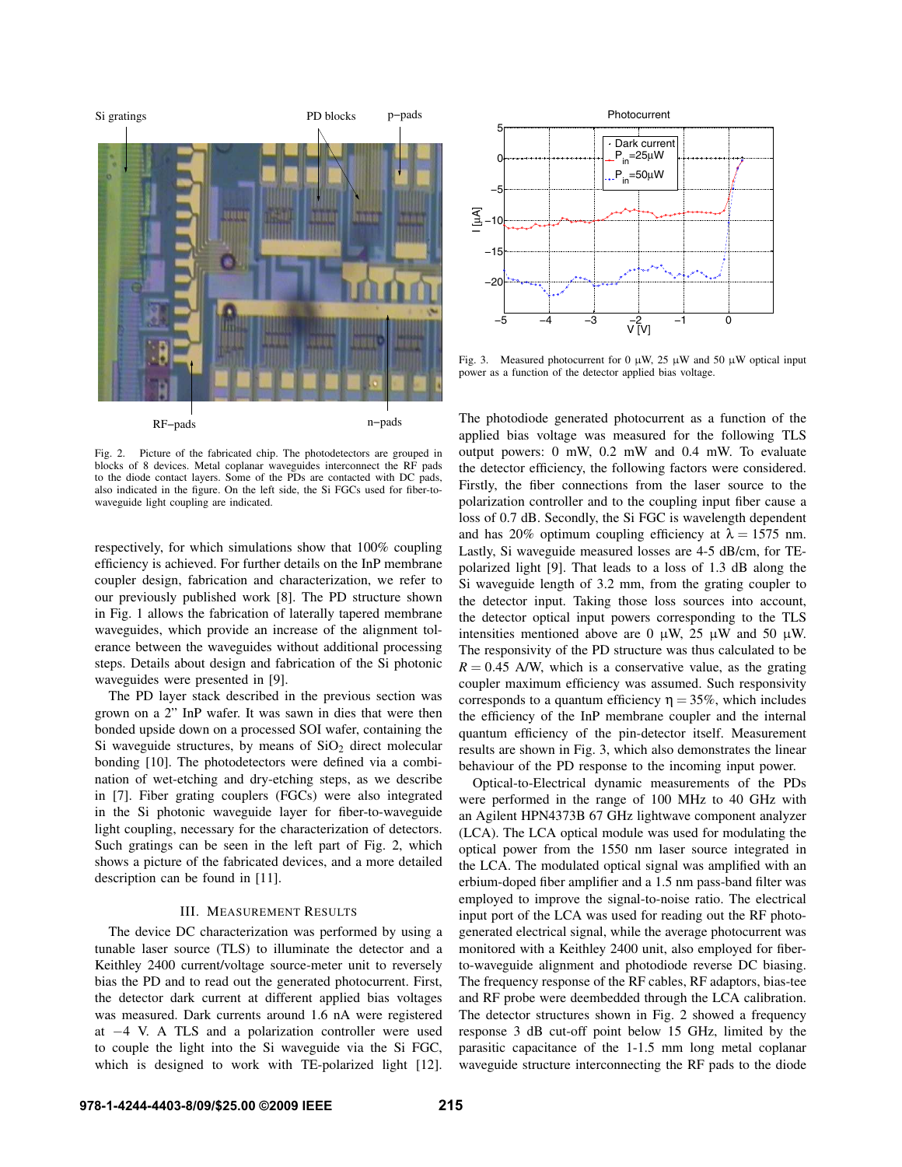

Fig. 2. Picture of the fabricated chip. The photodetectors are grouped in blocks of 8 devices. Metal coplanar waveguides interconnect the RF pads to the diode contact layers. Some of the PDs are contacted with DC pads, also indicated in the figure. On the left side, the Si FGCs used for fiber-towaveguide light coupling are indicated.

respectively, for which simulations show that 100% coupling efficiency is achieved. For further details on the InP membrane coupler design, fabrication and characterization, we refer to our previously published work [8]. The PD structure shown in Fig. 1 allows the fabrication of laterally tapered membrane waveguides, which provide an increase of the alignment tolerance between the waveguides without additional processing steps. Details about design and fabrication of the Si photonic waveguides were presented in [9].

The PD layer stack described in the previous section was grown on a 2" InP wafer. It was sawn in dies that were then bonded upside down on a processed SOI wafer, containing the Si waveguide structures, by means of  $SiO<sub>2</sub>$  direct molecular bonding [10]. The photodetectors were defined via a combination of wet-etching and dry-etching steps, as we describe in [7]. Fiber grating couplers (FGCs) were also integrated in the Si photonic waveguide layer for fiber-to-waveguide light coupling, necessary for the characterization of detectors. Such gratings can be seen in the left part of Fig. 2, which shows a picture of the fabricated devices, and a more detailed description can be found in [11].

## III. MEASUREMENT RESULTS

The device DC characterization was performed by using a tunable laser source (TLS) to illuminate the detector and a Keithley 2400 current/voltage source-meter unit to reversely bias the PD and to read out the generated photocurrent. First, the detector dark current at different applied bias voltages was measured. Dark currents around 1.6 nA were registered at −4 V. A TLS and a polarization controller were used to couple the light into the Si waveguide via the Si FGC,



Fig. 3. Measured photocurrent for 0  $\mu$ W, 25  $\mu$ W and 50  $\mu$ W optical input power as a function of the detector applied bias voltage.

Which is designed to the interaction of the interaction of the interaction of the interaction of the interaction of the interaction of the interaction of the interaction of the interaction of the interaction of the inte The photodiode generated photocurrent as a function of the applied bias voltage was measured for the following TLS output powers: 0 mW, 0.2 mW and 0.4 mW. To evaluate the detector efficiency, the following factors were considered. Firstly, the fiber connections from the laser source to the polarization controller and to the coupling input fiber cause a loss of 0.7 dB. Secondly, the Si FGC is wavelength dependent and has 20% optimum coupling efficiency at  $\lambda = 1575$  nm. Lastly, Si waveguide measured losses are 4-5 dB/cm, for TEpolarized light [9]. That leads to a loss of 1.3 dB along the Si waveguide length of 3.2 mm, from the grating coupler to the detector input. Taking those loss sources into account, the detector optical input powers corresponding to the TLS intensities mentioned above are 0  $\mu$ W, 25  $\mu$ W and 50  $\mu$ W. The responsivity of the PD structure was thus calculated to be  $R = 0.45$  A/W, which is a conservative value, as the grating coupler maximum efficiency was assumed. Such responsivity corresponds to a quantum efficiency  $\eta = 35\%$ , which includes the efficiency of the InP membrane coupler and the internal quantum efficiency of the pin-detector itself. Measurement results are shown in Fig. 3, which also demonstrates the linear behaviour of the PD response to the incoming input power.

Optical-to-Electrical dynamic measurements of the PDs were performed in the range of 100 MHz to 40 GHz with an Agilent HPN4373B 67 GHz lightwave component analyzer (LCA). The LCA optical module was used for modulating the optical power from the 1550 nm laser source integrated in the LCA. The modulated optical signal was amplified with an erbium-doped fiber amplifier and a 1.5 nm pass-band filter was employed to improve the signal-to-noise ratio. The electrical input port of the LCA was used for reading out the RF photogenerated electrical signal, while the average photocurrent was monitored with a Keithley 2400 unit, also employed for fiberto-waveguide alignment and photodiode reverse DC biasing. The frequency response of the RF cables, RF adaptors, bias-tee and RF probe were deembedded through the LCA calibration. The detector structures shown in Fig. 2 showed a frequency response 3 dB cut-off point below 15 GHz, limited by the parasitic capacitance of the 1-1.5 mm long metal coplanar waveguide structure interconnecting the RF pads to the diode